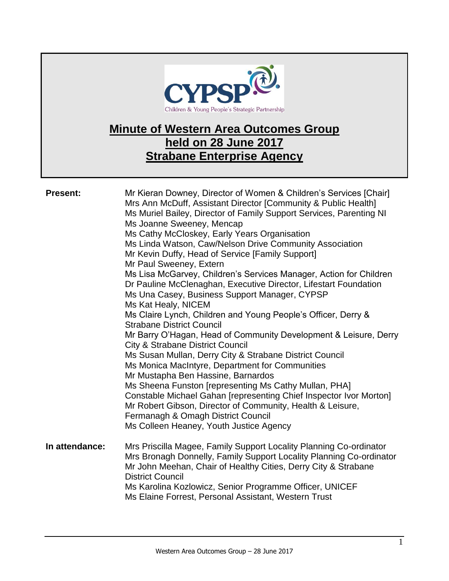

## **Minute of Western Area Outcomes Group held on 28 June 2017 Strabane Enterprise Agency**

| <b>Present:</b> | Mr Kieran Downey, Director of Women & Children's Services [Chair]<br>Mrs Ann McDuff, Assistant Director [Community & Public Health]<br>Ms Muriel Bailey, Director of Family Support Services, Parenting NI<br>Ms Joanne Sweeney, Mencap<br>Ms Cathy McCloskey, Early Years Organisation<br>Ms Linda Watson, Caw/Nelson Drive Community Association<br>Mr Kevin Duffy, Head of Service [Family Support]<br>Mr Paul Sweeney, Extern<br>Ms Lisa McGarvey, Children's Services Manager, Action for Children<br>Dr Pauline McClenaghan, Executive Director, Lifestart Foundation<br>Ms Una Casey, Business Support Manager, CYPSP<br>Ms Kat Healy, NICEM<br>Ms Claire Lynch, Children and Young People's Officer, Derry &<br><b>Strabane District Council</b><br>Mr Barry O'Hagan, Head of Community Development & Leisure, Derry<br><b>City &amp; Strabane District Council</b><br>Ms Susan Mullan, Derry City & Strabane District Council<br>Ms Monica MacIntyre, Department for Communities<br>Mr Mustapha Ben Hassine, Barnardos<br>Ms Sheena Funston [representing Ms Cathy Mullan, PHA]<br>Constable Michael Gahan [representing Chief Inspector Ivor Morton]<br>Mr Robert Gibson, Director of Community, Health & Leisure,<br>Fermanagh & Omagh District Council<br>Ms Colleen Heaney, Youth Justice Agency |
|-----------------|---------------------------------------------------------------------------------------------------------------------------------------------------------------------------------------------------------------------------------------------------------------------------------------------------------------------------------------------------------------------------------------------------------------------------------------------------------------------------------------------------------------------------------------------------------------------------------------------------------------------------------------------------------------------------------------------------------------------------------------------------------------------------------------------------------------------------------------------------------------------------------------------------------------------------------------------------------------------------------------------------------------------------------------------------------------------------------------------------------------------------------------------------------------------------------------------------------------------------------------------------------------------------------------------------------------|
| In attendance:  | Mrs Priscilla Magee, Family Support Locality Planning Co-ordinator<br>Mrs Bronagh Donnelly, Family Support Locality Planning Co-ordinator<br>Mr John Meehan, Chair of Healthy Cities, Derry City & Strabane<br><b>District Council</b><br>Ms Karolina Kozlowicz, Senior Programme Officer, UNICEF<br>Ms Elaine Forrest, Personal Assistant, Western Trust                                                                                                                                                                                                                                                                                                                                                                                                                                                                                                                                                                                                                                                                                                                                                                                                                                                                                                                                                     |

1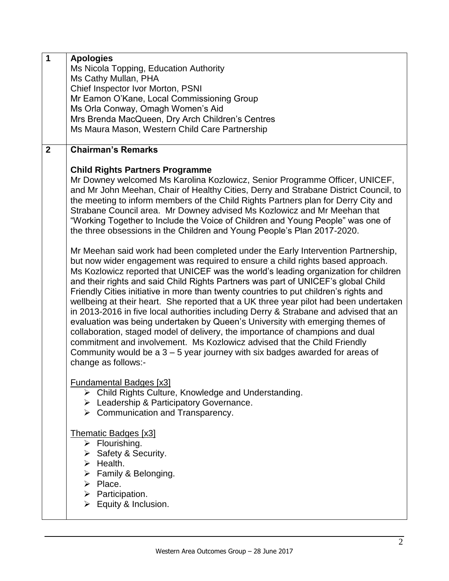| $\mathbf{1}$   | <b>Apologies</b>                                                                      |
|----------------|---------------------------------------------------------------------------------------|
|                | Ms Nicola Topping, Education Authority                                                |
|                | Ms Cathy Mullan, PHA                                                                  |
|                | Chief Inspector Ivor Morton, PSNI                                                     |
|                | Mr Eamon O'Kane, Local Commissioning Group                                            |
|                | Ms Orla Conway, Omagh Women's Aid                                                     |
|                | Mrs Brenda MacQueen, Dry Arch Children's Centres                                      |
|                | Ms Maura Mason, Western Child Care Partnership                                        |
|                |                                                                                       |
| $\overline{2}$ | <b>Chairman's Remarks</b>                                                             |
|                |                                                                                       |
|                | <b>Child Rights Partners Programme</b>                                                |
|                |                                                                                       |
|                | Mr Downey welcomed Ms Karolina Kozlowicz, Senior Programme Officer, UNICEF,           |
|                | and Mr John Meehan, Chair of Healthy Cities, Derry and Strabane District Council, to  |
|                | the meeting to inform members of the Child Rights Partners plan for Derry City and    |
|                | Strabane Council area. Mr Downey advised Ms Kozlowicz and Mr Meehan that              |
|                | "Working Together to Include the Voice of Children and Young People" was one of       |
|                | the three obsessions in the Children and Young People's Plan 2017-2020.               |
|                |                                                                                       |
|                | Mr Meehan said work had been completed under the Early Intervention Partnership,      |
|                | but now wider engagement was required to ensure a child rights based approach.        |
|                | Ms Kozlowicz reported that UNICEF was the world's leading organization for children   |
|                | and their rights and said Child Rights Partners was part of UNICEF's global Child     |
|                | Friendly Cities initiative in more than twenty countries to put children's rights and |
|                | wellbeing at their heart. She reported that a UK three year pilot had been undertaken |
|                | in 2013-2016 in five local authorities including Derry & Strabane and advised that an |
|                | evaluation was being undertaken by Queen's University with emerging themes of         |
|                | collaboration, staged model of delivery, the importance of champions and dual         |
|                | commitment and involvement. Ms Kozlowicz advised that the Child Friendly              |
|                | Community would be a $3 - 5$ year journey with six badges awarded for areas of        |
|                | change as follows:-                                                                   |
|                |                                                                                       |
|                |                                                                                       |
|                | <b>Fundamental Badges [x3]</b>                                                        |
|                | Child Rights Culture, Knowledge and Understanding.<br>≻                               |
|                | $\triangleright$ Leadership & Participatory Governance.                               |
|                | $\triangleright$ Communication and Transparency.                                      |
|                |                                                                                       |
|                | <b>Thematic Badges [x3]</b>                                                           |
|                | $\triangleright$ Flourishing.                                                         |
|                | $\triangleright$ Safety & Security.                                                   |
|                | $\triangleright$ Health.                                                              |
|                | $\triangleright$ Family & Belonging.                                                  |
|                | $\triangleright$ Place.                                                               |
|                | $\triangleright$ Participation.                                                       |
|                | $\triangleright$ Equity & Inclusion.                                                  |
|                |                                                                                       |
|                |                                                                                       |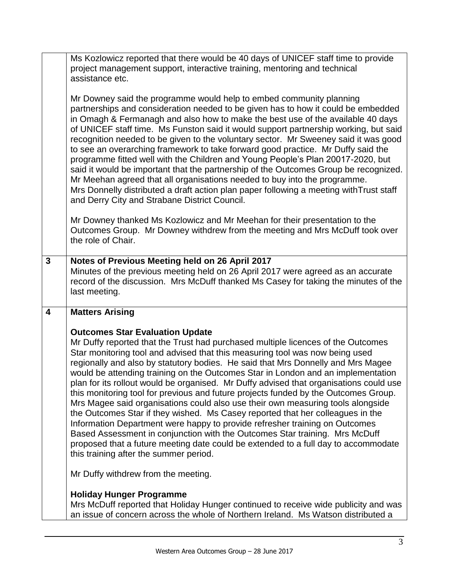|                         | Ms Kozlowicz reported that there would be 40 days of UNICEF staff time to provide<br>project management support, interactive training, mentoring and technical<br>assistance etc.                                                                                                                                                                                                                                                                                                                                                                                                                                                                                                                                                                                                                                                                                                                                                                                                            |
|-------------------------|----------------------------------------------------------------------------------------------------------------------------------------------------------------------------------------------------------------------------------------------------------------------------------------------------------------------------------------------------------------------------------------------------------------------------------------------------------------------------------------------------------------------------------------------------------------------------------------------------------------------------------------------------------------------------------------------------------------------------------------------------------------------------------------------------------------------------------------------------------------------------------------------------------------------------------------------------------------------------------------------|
|                         | Mr Downey said the programme would help to embed community planning<br>partnerships and consideration needed to be given has to how it could be embedded<br>in Omagh & Fermanagh and also how to make the best use of the available 40 days<br>of UNICEF staff time. Ms Funston said it would support partnership working, but said<br>recognition needed to be given to the voluntary sector. Mr Sweeney said it was good<br>to see an overarching framework to take forward good practice. Mr Duffy said the<br>programme fitted well with the Children and Young People's Plan 20017-2020, but<br>said it would be important that the partnership of the Outcomes Group be recognized.<br>Mr Meehan agreed that all organisations needed to buy into the programme.<br>Mrs Donnelly distributed a draft action plan paper following a meeting with Trust staff<br>and Derry City and Strabane District Council.                                                                           |
|                         | Mr Downey thanked Ms Kozlowicz and Mr Meehan for their presentation to the<br>Outcomes Group. Mr Downey withdrew from the meeting and Mrs McDuff took over<br>the role of Chair.                                                                                                                                                                                                                                                                                                                                                                                                                                                                                                                                                                                                                                                                                                                                                                                                             |
| $\mathbf{3}$            | Notes of Previous Meeting held on 26 April 2017                                                                                                                                                                                                                                                                                                                                                                                                                                                                                                                                                                                                                                                                                                                                                                                                                                                                                                                                              |
|                         | Minutes of the previous meeting held on 26 April 2017 were agreed as an accurate                                                                                                                                                                                                                                                                                                                                                                                                                                                                                                                                                                                                                                                                                                                                                                                                                                                                                                             |
|                         | record of the discussion. Mrs McDuff thanked Ms Casey for taking the minutes of the                                                                                                                                                                                                                                                                                                                                                                                                                                                                                                                                                                                                                                                                                                                                                                                                                                                                                                          |
|                         |                                                                                                                                                                                                                                                                                                                                                                                                                                                                                                                                                                                                                                                                                                                                                                                                                                                                                                                                                                                              |
|                         | last meeting.                                                                                                                                                                                                                                                                                                                                                                                                                                                                                                                                                                                                                                                                                                                                                                                                                                                                                                                                                                                |
| $\overline{\mathbf{4}}$ | <b>Matters Arising</b>                                                                                                                                                                                                                                                                                                                                                                                                                                                                                                                                                                                                                                                                                                                                                                                                                                                                                                                                                                       |
|                         |                                                                                                                                                                                                                                                                                                                                                                                                                                                                                                                                                                                                                                                                                                                                                                                                                                                                                                                                                                                              |
|                         | <b>Outcomes Star Evaluation Update</b>                                                                                                                                                                                                                                                                                                                                                                                                                                                                                                                                                                                                                                                                                                                                                                                                                                                                                                                                                       |
|                         | Mr Duffy reported that the Trust had purchased multiple licences of the Outcomes<br>Star monitoring tool and advised that this measuring tool was now being used<br>regionally and also by statutory bodies. He said that Mrs Donnelly and Mrs Magee<br>would be attending training on the Outcomes Star in London and an implementation<br>plan for its rollout would be organised. Mr Duffy advised that organisations could use<br>this monitoring tool for previous and future projects funded by the Outcomes Group.<br>Mrs Magee said organisations could also use their own measuring tools alongside<br>the Outcomes Star if they wished. Ms Casey reported that her colleagues in the<br>Information Department were happy to provide refresher training on Outcomes<br>Based Assessment in conjunction with the Outcomes Star training. Mrs McDuff<br>proposed that a future meeting date could be extended to a full day to accommodate<br>this training after the summer period. |
|                         | Mr Duffy withdrew from the meeting.                                                                                                                                                                                                                                                                                                                                                                                                                                                                                                                                                                                                                                                                                                                                                                                                                                                                                                                                                          |
|                         |                                                                                                                                                                                                                                                                                                                                                                                                                                                                                                                                                                                                                                                                                                                                                                                                                                                                                                                                                                                              |
|                         | <b>Holiday Hunger Programme</b><br>Mrs McDuff reported that Holiday Hunger continued to receive wide publicity and was                                                                                                                                                                                                                                                                                                                                                                                                                                                                                                                                                                                                                                                                                                                                                                                                                                                                       |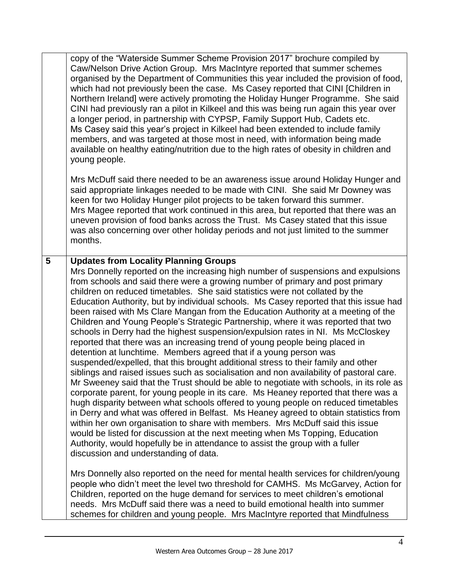|   | copy of the "Waterside Summer Scheme Provision 2017" brochure compiled by<br>Caw/Nelson Drive Action Group. Mrs MacIntyre reported that summer schemes<br>organised by the Department of Communities this year included the provision of food,<br>which had not previously been the case. Ms Casey reported that CINI [Children in<br>Northern Ireland] were actively promoting the Holiday Hunger Programme. She said<br>CINI had previously ran a pilot in Kilkeel and this was being run again this year over<br>a longer period, in partnership with CYPSP, Family Support Hub, Cadets etc.<br>Ms Casey said this year's project in Kilkeel had been extended to include family<br>members, and was targeted at those most in need, with information being made<br>available on healthy eating/nutrition due to the high rates of obesity in children and<br>young people.                                                                                                                                                                                                                                                                                                                                                                                                                                                                                                                                                                                                                                                                                                                                                                                                                                                                                                                                                                                                                                                                                                                                                                                                             |
|---|--------------------------------------------------------------------------------------------------------------------------------------------------------------------------------------------------------------------------------------------------------------------------------------------------------------------------------------------------------------------------------------------------------------------------------------------------------------------------------------------------------------------------------------------------------------------------------------------------------------------------------------------------------------------------------------------------------------------------------------------------------------------------------------------------------------------------------------------------------------------------------------------------------------------------------------------------------------------------------------------------------------------------------------------------------------------------------------------------------------------------------------------------------------------------------------------------------------------------------------------------------------------------------------------------------------------------------------------------------------------------------------------------------------------------------------------------------------------------------------------------------------------------------------------------------------------------------------------------------------------------------------------------------------------------------------------------------------------------------------------------------------------------------------------------------------------------------------------------------------------------------------------------------------------------------------------------------------------------------------------------------------------------------------------------------------------------------------------|
|   | Mrs McDuff said there needed to be an awareness issue around Holiday Hunger and<br>said appropriate linkages needed to be made with CINI. She said Mr Downey was<br>keen for two Holiday Hunger pilot projects to be taken forward this summer.<br>Mrs Magee reported that work continued in this area, but reported that there was an<br>uneven provision of food banks across the Trust. Ms Casey stated that this issue<br>was also concerning over other holiday periods and not just limited to the summer<br>months.                                                                                                                                                                                                                                                                                                                                                                                                                                                                                                                                                                                                                                                                                                                                                                                                                                                                                                                                                                                                                                                                                                                                                                                                                                                                                                                                                                                                                                                                                                                                                                 |
| 5 | <b>Updates from Locality Planning Groups</b><br>Mrs Donnelly reported on the increasing high number of suspensions and expulsions<br>from schools and said there were a growing number of primary and post primary<br>children on reduced timetables. She said statistics were not collated by the<br>Education Authority, but by individual schools. Ms Casey reported that this issue had<br>been raised with Ms Clare Mangan from the Education Authority at a meeting of the<br>Children and Young People's Strategic Partnership, where it was reported that two<br>schools in Derry had the highest suspension/expulsion rates in NI. Ms McCloskey<br>reported that there was an increasing trend of young people being placed in<br>detention at lunchtime. Members agreed that if a young person was<br>suspended/expelled, that this brought additional stress to their family and other<br>siblings and raised issues such as socialisation and non availability of pastoral care.<br>Mr Sweeney said that the Trust should be able to negotiate with schools, in its role as<br>corporate parent, for young people in its care. Ms Heaney reported that there was a<br>hugh disparity between what schools offered to young people on reduced timetables<br>in Derry and what was offered in Belfast. Ms Heaney agreed to obtain statistics from<br>within her own organisation to share with members. Mrs McDuff said this issue<br>would be listed for discussion at the next meeting when Ms Topping, Education<br>Authority, would hopefully be in attendance to assist the group with a fuller<br>discussion and understanding of data.<br>Mrs Donnelly also reported on the need for mental health services for children/young<br>people who didn't meet the level two threshold for CAMHS. Ms McGarvey, Action for<br>Children, reported on the huge demand for services to meet children's emotional<br>needs. Mrs McDuff said there was a need to build emotional health into summer<br>schemes for children and young people. Mrs MacIntyre reported that Mindfulness |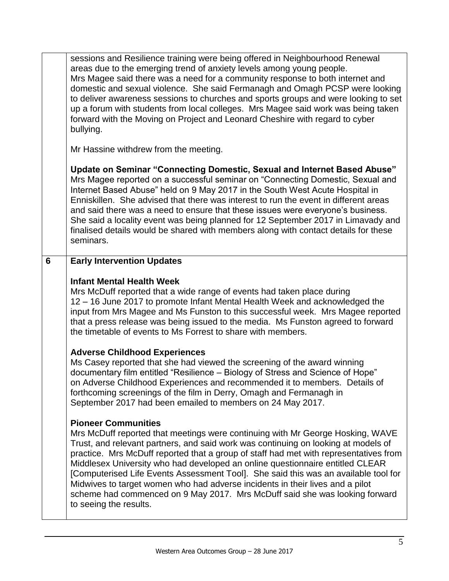|   | sessions and Resilience training were being offered in Neighbourhood Renewal<br>areas due to the emerging trend of anxiety levels among young people.<br>Mrs Magee said there was a need for a community response to both internet and<br>domestic and sexual violence. She said Fermanagh and Omagh PCSP were looking<br>to deliver awareness sessions to churches and sports groups and were looking to set<br>up a forum with students from local colleges. Mrs Magee said work was being taken<br>forward with the Moving on Project and Leonard Cheshire with regard to cyber<br>bullying.                                                               |
|---|---------------------------------------------------------------------------------------------------------------------------------------------------------------------------------------------------------------------------------------------------------------------------------------------------------------------------------------------------------------------------------------------------------------------------------------------------------------------------------------------------------------------------------------------------------------------------------------------------------------------------------------------------------------|
|   | Mr Hassine withdrew from the meeting.                                                                                                                                                                                                                                                                                                                                                                                                                                                                                                                                                                                                                         |
|   | Update on Seminar "Connecting Domestic, Sexual and Internet Based Abuse"<br>Mrs Magee reported on a successful seminar on "Connecting Domestic, Sexual and<br>Internet Based Abuse" held on 9 May 2017 in the South West Acute Hospital in<br>Enniskillen. She advised that there was interest to run the event in different areas<br>and said there was a need to ensure that these issues were everyone's business.<br>She said a locality event was being planned for 12 September 2017 in Limavady and<br>finalised details would be shared with members along with contact details for these<br>seminars.                                                |
| 6 | <b>Early Intervention Updates</b>                                                                                                                                                                                                                                                                                                                                                                                                                                                                                                                                                                                                                             |
|   | <b>Infant Mental Health Week</b><br>Mrs McDuff reported that a wide range of events had taken place during<br>12 – 16 June 2017 to promote Infant Mental Health Week and acknowledged the<br>input from Mrs Magee and Ms Funston to this successful week. Mrs Magee reported<br>that a press release was being issued to the media. Ms Funston agreed to forward<br>the timetable of events to Ms Forrest to share with members.                                                                                                                                                                                                                              |
|   | <b>Adverse Childhood Experiences</b><br>Ms Casey reported that she had viewed the screening of the award winning<br>documentary film entitled "Resilience - Biology of Stress and Science of Hope"<br>on Adverse Childhood Experiences and recommended it to members. Details of<br>forthcoming screenings of the film in Derry, Omagh and Fermanagh in<br>September 2017 had been emailed to members on 24 May 2017.                                                                                                                                                                                                                                         |
|   | <b>Pioneer Communities</b><br>Mrs McDuff reported that meetings were continuing with Mr George Hosking, WAVE<br>Trust, and relevant partners, and said work was continuing on looking at models of<br>practice. Mrs McDuff reported that a group of staff had met with representatives from<br>Middlesex University who had developed an online questionnaire entitled CLEAR<br>[Computerised Life Events Assessment Tool]. She said this was an available tool for<br>Midwives to target women who had adverse incidents in their lives and a pilot<br>scheme had commenced on 9 May 2017. Mrs McDuff said she was looking forward<br>to seeing the results. |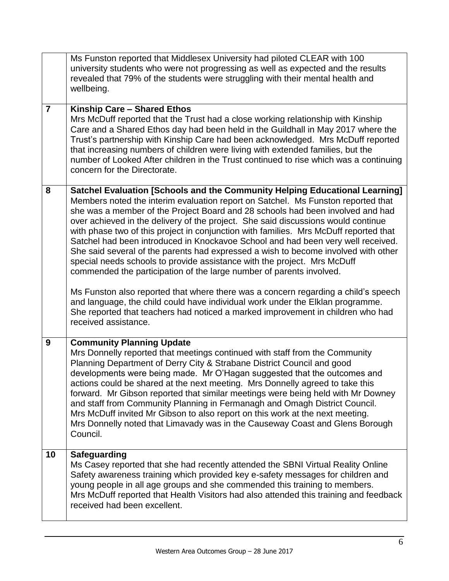|                | Ms Funston reported that Middlesex University had piloted CLEAR with 100<br>university students who were not progressing as well as expected and the results<br>revealed that 79% of the students were struggling with their mental health and<br>wellbeing.                                                                                                                                                                                                                                                                                                                                                                                                                                                                                                                                                                                                                                                                                                                                                                                     |
|----------------|--------------------------------------------------------------------------------------------------------------------------------------------------------------------------------------------------------------------------------------------------------------------------------------------------------------------------------------------------------------------------------------------------------------------------------------------------------------------------------------------------------------------------------------------------------------------------------------------------------------------------------------------------------------------------------------------------------------------------------------------------------------------------------------------------------------------------------------------------------------------------------------------------------------------------------------------------------------------------------------------------------------------------------------------------|
| $\overline{7}$ | Kinship Care - Shared Ethos<br>Mrs McDuff reported that the Trust had a close working relationship with Kinship<br>Care and a Shared Ethos day had been held in the Guildhall in May 2017 where the<br>Trust's partnership with Kinship Care had been acknowledged. Mrs McDuff reported<br>that increasing numbers of children were living with extended families, but the<br>number of Looked After children in the Trust continued to rise which was a continuing<br>concern for the Directorate.                                                                                                                                                                                                                                                                                                                                                                                                                                                                                                                                              |
| 8              | Satchel Evaluation [Schools and the Community Helping Educational Learning]<br>Members noted the interim evaluation report on Satchel. Ms Funston reported that<br>she was a member of the Project Board and 28 schools had been involved and had<br>over achieved in the delivery of the project. She said discussions would continue<br>with phase two of this project in conjunction with families. Mrs McDuff reported that<br>Satchel had been introduced in Knockavoe School and had been very well received.<br>She said several of the parents had expressed a wish to become involved with other<br>special needs schools to provide assistance with the project. Mrs McDuff<br>commended the participation of the large number of parents involved.<br>Ms Funston also reported that where there was a concern regarding a child's speech<br>and language, the child could have individual work under the Elklan programme.<br>She reported that teachers had noticed a marked improvement in children who had<br>received assistance. |
| 9              | <b>Community Planning Update</b><br>Mrs Donnelly reported that meetings continued with staff from the Community<br>Planning Department of Derry City & Strabane District Council and good<br>developments were being made. Mr O'Hagan suggested that the outcomes and<br>actions could be shared at the next meeting. Mrs Donnelly agreed to take this<br>forward. Mr Gibson reported that similar meetings were being held with Mr Downey<br>and staff from Community Planning in Fermanagh and Omagh District Council.<br>Mrs McDuff invited Mr Gibson to also report on this work at the next meeting.<br>Mrs Donnelly noted that Limavady was in the Causeway Coast and Glens Borough<br>Council.                                                                                                                                                                                                                                                                                                                                            |
| 10             | <b>Safeguarding</b><br>Ms Casey reported that she had recently attended the SBNI Virtual Reality Online<br>Safety awareness training which provided key e-safety messages for children and<br>young people in all age groups and she commended this training to members.<br>Mrs McDuff reported that Health Visitors had also attended this training and feedback<br>received had been excellent.                                                                                                                                                                                                                                                                                                                                                                                                                                                                                                                                                                                                                                                |